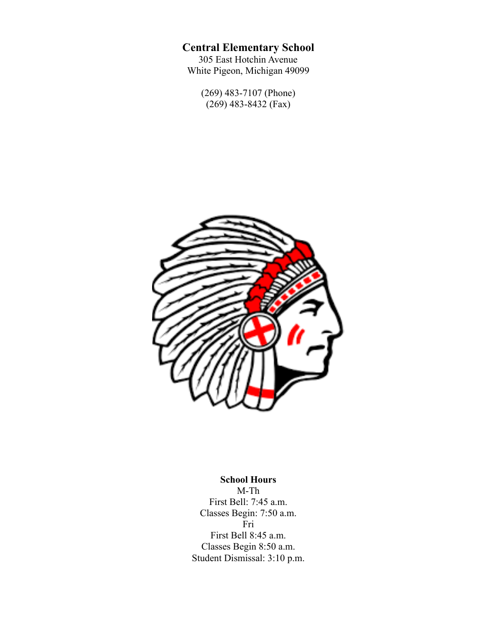# **Central Elementary School**

305 East Hotchin Avenue White Pigeon, Michigan 49099

> (269) 483-7107 (Phone)  $(269)$  483-8432 (Fax)



**School Hours** M-Th First Bell: 7:45 a.m. Classes Begin: 7:50 a.m. Fri First Bell 8:45 a.m. Classes Begin 8:50 a.m. Student Dismissal: 3:10 p.m.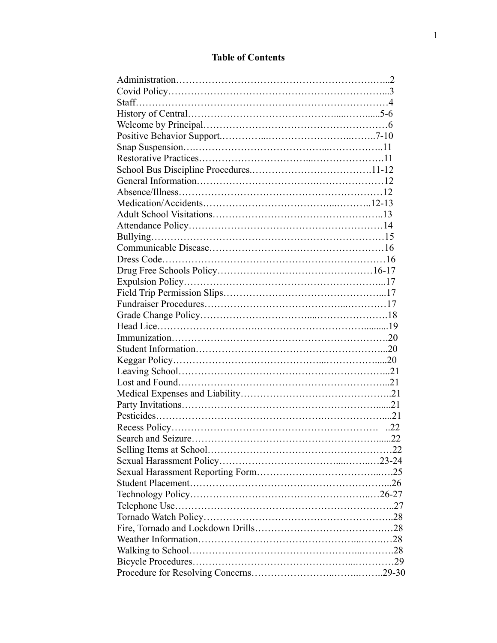## **Table of Contents**

| Search and Seizure |  |
|--------------------|--|
|                    |  |
|                    |  |
|                    |  |
|                    |  |
|                    |  |
|                    |  |
|                    |  |
|                    |  |
|                    |  |
|                    |  |
|                    |  |
|                    |  |
|                    |  |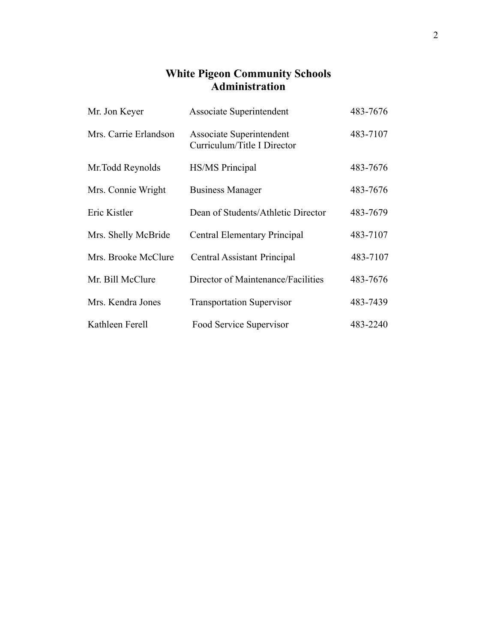## **White Pigeon Community Schools Administration**

| Mr. Jon Keyer         | Associate Superintendent                                | 483-7676 |
|-----------------------|---------------------------------------------------------|----------|
| Mrs. Carrie Erlandson | Associate Superintendent<br>Curriculum/Title I Director | 483-7107 |
| Mr. Todd Reynolds     | HS/MS Principal                                         | 483-7676 |
| Mrs. Connie Wright    | <b>Business Manager</b>                                 | 483-7676 |
| Eric Kistler          | Dean of Students/Athletic Director                      | 483-7679 |
| Mrs. Shelly McBride   | Central Elementary Principal                            | 483-7107 |
| Mrs. Brooke McClure   | <b>Central Assistant Principal</b>                      | 483-7107 |
| Mr. Bill McClure      | Director of Maintenance/Facilities                      | 483-7676 |
| Mrs. Kendra Jones     | <b>Transportation Supervisor</b>                        | 483-7439 |
| Kathleen Ferell       | Food Service Supervisor                                 | 483-2240 |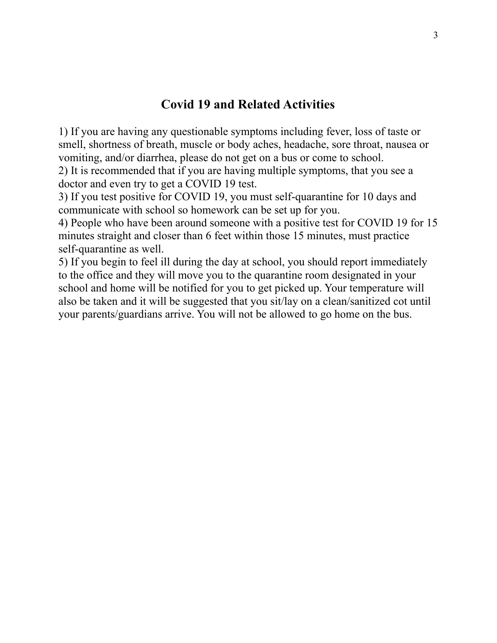# **Covid 19 and Related Activities**

 1) If you are having any questionable symptoms including fever, loss of taste or smell, shortness of breath, muscle or body aches, headache, sore throat, nausea or vomiting, and/or diarrhea, please do not get on a bus or come to school. 2) It is recommended that if you are having multiple symptoms, that you see a doctor and even try to get a COVID 19 test.

 3) If you test positive for COVID 19, you must self-quarantine for 10 days and communicate with school so homework can be set up for you.

 4) People who have been around someone with a positive test for COVID 19 for 15 minutes straight and closer than 6 feet within those 15 minutes, must practice self-quarantine as well.

 5) If you begin to feel ill during the day at school, you should report immediately to the office and they will move you to the quarantine room designated in your school and home will be notified for you to get picked up. Your temperature will also be taken and it will be suggested that you sit/lay on a clean/sanitized cot until your parents/guardians arrive. You will not be allowed to go home on the bus.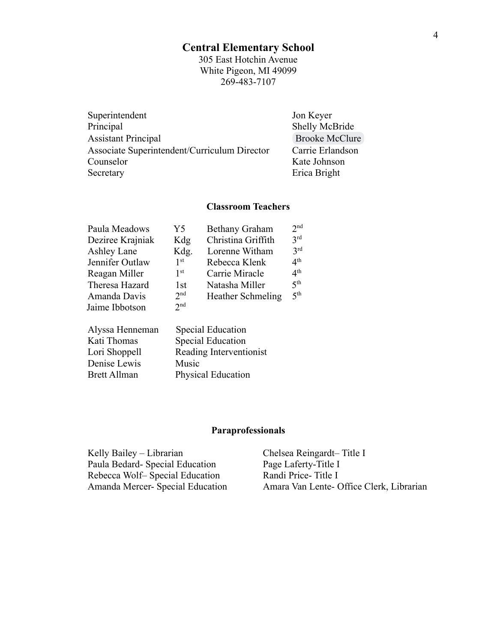## **Central Elementary School**

305 East Hotchin Avenue White Pigeon, MI 49099 269-483-7107

| Superintendent                               | Jon Keyer             |
|----------------------------------------------|-----------------------|
| Principal                                    | Shelly McBride        |
| <b>Assistant Principal</b>                   | <b>Brooke McClure</b> |
| Associate Superintendent/Curriculum Director | Carrie Erlandson      |
| Counselor                                    | Kate Johnson          |
| Secretary                                    | Erica Bright          |

### **Classroom Teachers**

| Paula Meadows    | Y5              | <b>Bethany Graham</b>    | 2 <sub>nd</sub> |
|------------------|-----------------|--------------------------|-----------------|
| Deziree Krajniak | Kdg             | Christina Griffith       | 2rd             |
| Ashley Lane      | Kdg.            | Lorenne Witham           | 2rd             |
| Jennifer Outlaw  | 1 <sup>st</sup> | Rebecca Klenk            | 4 <sup>th</sup> |
| Reagan Miller    | 1 <sup>st</sup> | Carrie Miracle           | 4 <sup>th</sup> |
| Theresa Hazard   | 1st             | Natasha Miller           | 5 <sup>th</sup> |
| Amanda Davis     | 2 <sup>nd</sup> | <b>Heather Schmeling</b> | 5 <sup>th</sup> |
| Jaime Ibbotson   | 2 <sub>nd</sub> |                          |                 |
|                  |                 |                          |                 |

| Alyssa Henneman     | <b>Special Education</b>  |
|---------------------|---------------------------|
| Kati Thomas         | <b>Special Education</b>  |
| Lori Shoppell       | Reading Interventionist   |
| Denise Lewis        | Music                     |
| <b>Brett Allman</b> | <b>Physical Education</b> |
|                     |                           |

# **Paraprofessionals**

| Kelly Bailey – Librarian        | Chelsea Reingardt-Title I                |
|---------------------------------|------------------------------------------|
| Paula Bedard-Special Education  | Page Laferty-Title I                     |
| Rebecca Wolf-Special Education  | Randi Price-Title I                      |
| Amanda Mercer-Special Education | Amara Van Lente- Office Clerk, Librarian |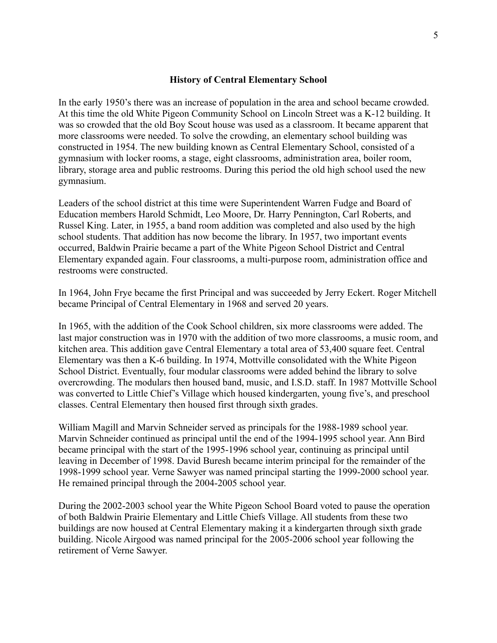#### **History of Central Elementary School**

In the early 1950's there was an increase of population in the area and school became crowded. At this time the old White Pigeon Community School on Lincoln Street was a K-12 building. It was so crowded that the old Boy Scout house was used as a classroom. It became apparent that more classrooms were needed. To solve the crowding, an elementary school building was constructed in 1954. The new building known as Central Elementary School, consisted of a gymnasium with locker rooms, a stage, eight classrooms, administration area, boiler room, library, storage area and public restrooms. During this period the old high school used the new gymnasium.

Leaders of the school district at this time were Superintendent Warren Fudge and Board of Education members Harold Schmidt, Leo Moore, Dr. Harry Pennington, Carl Roberts, and Russel King. Later, in 1955, a band room addition was completed and also used by the high school students. That addition has now become the library. In 1957, two important events occurred, Baldwin Prairie became a part of the White Pigeon School District and Central Elementary expanded again. Four classrooms, a multi-purpose room, administration office and restrooms were constructed.

In 1964, John Frye became the first Principal and was succeeded by Jerry Eckert. Roger Mitchell became Principal of Central Elementary in 1968 and served 20 years.

In 1965, with the addition of the Cook School children, six more classrooms were added. The last major construction was in 1970 with the addition of two more classrooms, a music room, and kitchen area. This addition gave Central Elementary a total area of 53,400 square feet. Central Elementary was then a K-6 building. In 1974, Mottville consolidated with the White Pigeon School District. Eventually, four modular classrooms were added behind the library to solve overcrowding. The modulars then housed band, music, and I.S.D. staff. In 1987 Mottville School was converted to Little Chief's Village which housed kindergarten, young five's, and preschool classes. Central Elementary then housed first through sixth grades.

William Magill and Marvin Schneider served as principals for the 1988-1989 school year. Marvin Schneider continued as principal until the end of the 1994-1995 school year. Ann Bird became principal with the start of the 1995-1996 school year, continuing as principal until leaving in December of 1998. David Buresh became interim principal for the remainder of the 1998-1999 school year. Verne Sawyer was named principal starting the 1999-2000 school year. He remained principal through the 2004-2005 school year.

During the 2002-2003 school year the White Pigeon School Board voted to pause the operation of both Baldwin Prairie Elementary and Little Chiefs Village. All students from these two buildings are now housed at Central Elementary making it a kindergarten through sixth grade building. Nicole Airgood was named principal for the 2005-2006 school year following the retirement of Verne Sawyer.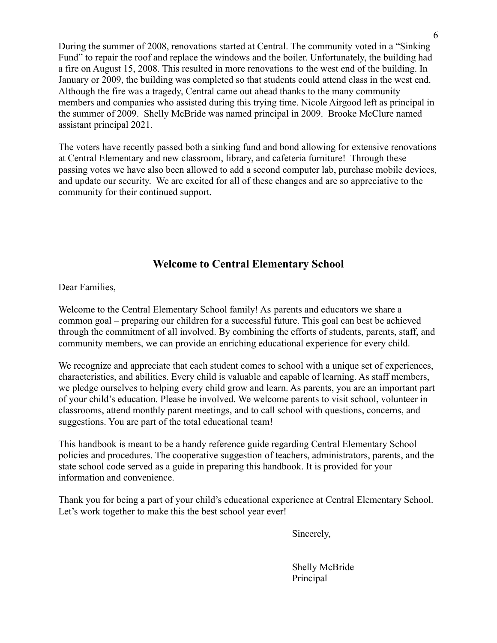During the summer of 2008, renovations started at Central. The community voted in a "Sinking Fund" to repair the roof and replace the windows and the boiler. Unfortunately, the building had a fire on August 15, 2008. This resulted in more renovations to the west end of the building. In January or 2009, the building was completed so that students could attend class in the west end. Although the fire was a tragedy, Central came out ahead thanks to the many community members and companies who assisted during this trying time. Nicole Airgood left as principal in the summer of 2009. Shelly McBride was named principal in 2009. Brooke McClure named assistant principal 2021.

The voters have recently passed both a sinking fund and bond allowing for extensive renovations at Central Elementary and new classroom, library, and cafeteria furniture! Through these passing votes we have also been allowed to add a second computer lab, purchase mobile devices, and update our security. We are excited for all of these changes and are so appreciative to the community for their continued support.

## **Welcome to Central Elementary School**

Dear Families,

Welcome to the Central Elementary School family! As parents and educators we share a common goal – preparing our children for a successful future. This goal can best be achieved through the commitment of all involved. By combining the efforts of students, parents, staff, and community members, we can provide an enriching educational experience for every child.

We recognize and appreciate that each student comes to school with a unique set of experiences, characteristics, and abilities. Every child is valuable and capable of learning. As staff members, we pledge ourselves to helping every child grow and learn. As parents, you are an important part of your child's education. Please be involved. We welcome parents to visit school, volunteer in classrooms, attend monthly parent meetings, and to call school with questions, concerns, and suggestions. You are part of the total educational team!

This handbook is meant to be a handy reference guide regarding Central Elementary School policies and procedures. The cooperative suggestion of teachers, administrators, parents, and the state school code served as a guide in preparing this handbook. It is provided for your information and convenience.

Thank you for being a part of your child's educational experience at Central Elementary School. Let's work together to make this the best school year ever!

Sincerely,

Shelly McBride Principal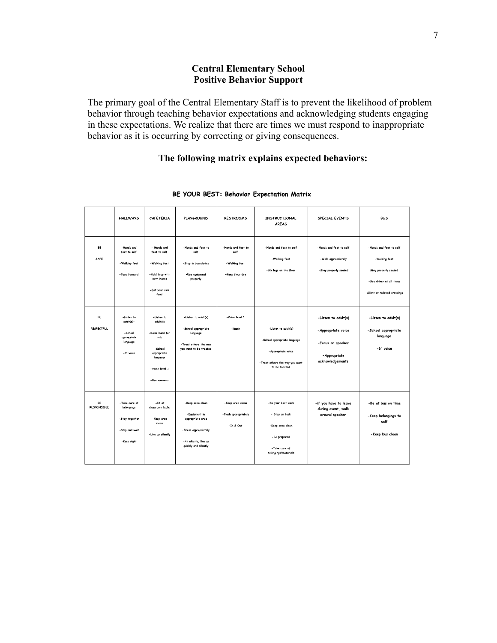## **Central Elementary School Positive Behavior Support**

The primary goal of the Central Elementary Staff is to prevent the likelihood of problem behavior through teaching behavior expectations and acknowledging students engaging in these expectations. We realize that there are times we must respond to inappropriate behavior as it is occurring by correcting or giving consequences.

## **The following matrix explains expected behaviors:**

|                          | <b>HALLWAYS</b>                                                                | CAFFTFRIA                                                                                                                 | <b>PLAYGROUND</b>                                                                                                             | <b>RESTROOMS</b>                                               | <b>INSTRUCTIONAL</b><br><b>AREAS</b>                                                                                          | SPECIAL EVENTS                                                                                      | <b>BUS</b>                                                                                                                    |
|--------------------------|--------------------------------------------------------------------------------|---------------------------------------------------------------------------------------------------------------------------|-------------------------------------------------------------------------------------------------------------------------------|----------------------------------------------------------------|-------------------------------------------------------------------------------------------------------------------------------|-----------------------------------------------------------------------------------------------------|-------------------------------------------------------------------------------------------------------------------------------|
| BE<br>SAFE               | -Hands and<br>feet to self<br>-Walking feet<br>-Face forward                   | - Hands and<br>feet to self<br>-Walking feet<br>-Hold tray with<br>both hands<br>-Eat your own<br>food                    | -Hands and feet to<br>self<br>-Stay in boundaries<br>-Use equipment<br>properly                                               | -Hands and feet to<br>self<br>-Walking feet<br>-Keep floor dry | -Hands and feet to self<br>-Walking feet<br>-Six legs on the floor                                                            | -Hands and feet to self<br>-Walk appropriately<br>-Stay properly seated                             | -Hands and feet to self<br>-Walking feet<br>Stay properly seated<br>-See driver at all times<br>-Silent at railroad crossings |
| BE<br><b>RESPECTFUL</b>  | -Listen to<br>adult(s)-<br>-School<br>appropriate<br>language<br>-6" voice     | -Listen to<br>adult(s)<br>-Raise hand for<br>help<br>-School<br>appropriate<br>language<br>-Voice level 1<br>-Use manners | -Listen to adult(s)<br>-School appropriate<br>language<br>-Treat others the way<br>you want to be treated                     | -Voice level 1<br>-Knock                                       | -Listen to adult(s)<br>-School appropriate language<br>- Appropriate voice<br>-Treat others the way you want<br>to be treated | -Listen to adult(s)<br>-Appropriate voice<br>-Focus on speaker<br>- Appropriate<br>acknowledgements | -Listen to adult(s)<br>-School appropriate<br>language<br>-6" voice                                                           |
| BE<br><b>RESPONSIBLE</b> | -Take care of<br>belongings<br>-Stay together<br>-Stop and wait<br>-Keep right | -Sit at<br>classroom table<br>-Keep area<br>clean<br>-Line up silently                                                    | -Keep area clean<br>-Equipment in<br>appropriate area<br>-Dress appropriately<br>-At whistle, line up<br>quickly and silently | -Keep area clean<br>-Flush appropriately<br>-In & Out          | -Do your best work<br>- Stay on task<br>-Keep area clean<br>-Be prepared<br>-Take care of<br>belongings/materials             | -if you have to leave<br>during event, walk<br>around speaker                                       | -Be at bus on time<br>-Keep belongings to<br>self<br>-Keep bus clean                                                          |

#### BE YOUR BEST: Behavior Expectation Matrix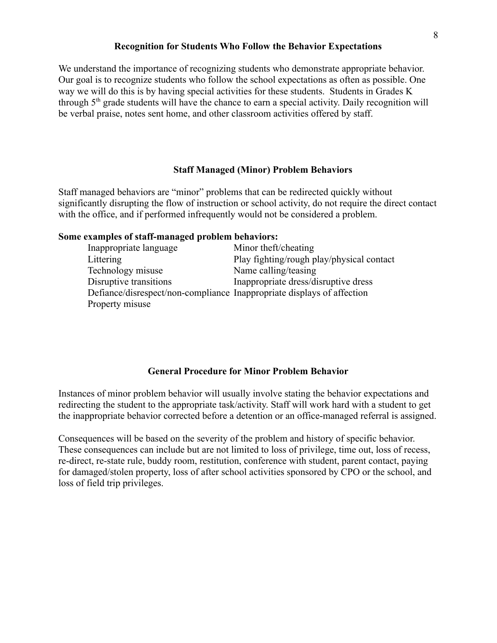#### **Recognition for Students Who Follow the Behavior Expectations**

We understand the importance of recognizing students who demonstrate appropriate behavior. Our goal is to recognize students who follow the school expectations as often as possible. One way we will do this is by having special activities for these students. Students in Grades K through 5th grade students will have the chance to earn a special activity. Daily recognition will be verbal praise, notes sent home, and other classroom activities offered by staff.

#### **Staff Managed (Minor) Problem Behaviors**

Staff managed behaviors are "minor" problems that can be redirected quickly without significantly disrupting the flow of instruction or school activity, do not require the direct contact with the office, and if performed infrequently would not be considered a problem.

#### **Some examples of staff-managed problem behaviors:**

| Inappropriate language                                                 | Minor theft/cheating                      |
|------------------------------------------------------------------------|-------------------------------------------|
| Littering                                                              | Play fighting/rough play/physical contact |
| Technology misuse                                                      | Name calling/teasing                      |
| Disruptive transitions                                                 | Inappropriate dress/disruptive dress      |
| Defiance/disrespect/non-compliance Inappropriate displays of affection |                                           |
| Property misuse                                                        |                                           |

#### **General Procedure for Minor Problem Behavior**

Instances of minor problem behavior will usually involve stating the behavior expectations and redirecting the student to the appropriate task/activity. Staff will work hard with a student to get the inappropriate behavior corrected before a detention or an office-managed referral is assigned.

Consequences will be based on the severity of the problem and history of specific behavior. These consequences can include but are not limited to loss of privilege, time out, loss of recess, re-direct, re-state rule, buddy room, restitution, conference with student, parent contact, paying for damaged/stolen property, loss of after school activities sponsored by CPO or the school, and loss of field trip privileges.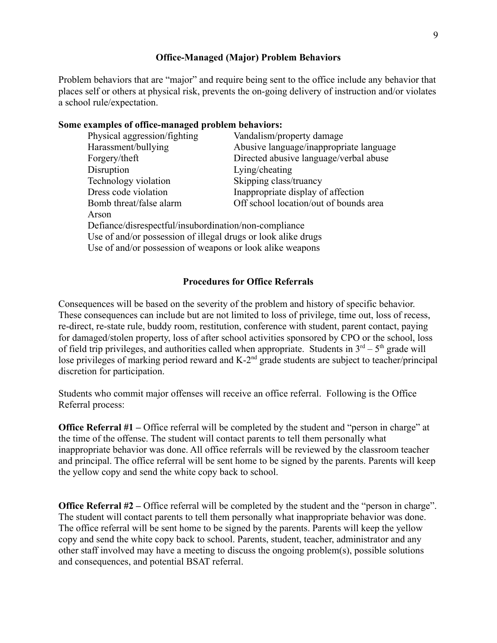#### **Office-Managed (Major) Problem Behaviors**

Problem behaviors that are "major" and require being sent to the office include any behavior that places self or others at physical risk, prevents the on-going delivery of instruction and/or violates a school rule/expectation.

#### **Some examples of office-managed problem behaviors:**

| Physical aggression/fighting                                  | Vandalism/property damage               |
|---------------------------------------------------------------|-----------------------------------------|
| Harassment/bullying                                           | Abusive language/inappropriate language |
| Forgery/theft                                                 | Directed abusive language/verbal abuse  |
| Disruption                                                    | Lying/cheating                          |
| Technology violation                                          | Skipping class/truancy                  |
| Dress code violation                                          | Inappropriate display of affection      |
| Bomb threat/false alarm                                       | Off school location/out of bounds area  |
| Arson                                                         |                                         |
| Defiance/disrespectful/insubordination/non-compliance         |                                         |
| Use of and/or possession of illegal drugs or look alike drugs |                                         |
| Use of and/or possession of weapons or look alike weapons     |                                         |
|                                                               |                                         |

#### **Procedures for Office Referrals**

Consequences will be based on the severity of the problem and history of specific behavior. These consequences can include but are not limited to loss of privilege, time out, loss of recess, re-direct, re-state rule, buddy room, restitution, conference with student, parent contact, paying for damaged/stolen property, loss of after school activities sponsored by CPO or the school, loss of field trip privileges, and authorities called when appropriate. Students in  $3<sup>rd</sup> - 5<sup>th</sup>$  grade will lose privileges of marking period reward and  $K-2<sup>nd</sup>$  grade students are subject to teacher/principal discretion for participation.

Students who commit major offenses will receive an office referral. Following is the Office Referral process:

**Office Referral #1** – Office referral will be completed by the student and "person in charge" at the time of the offense. The student will contact parents to tell them personally what inappropriate behavior was done. All office referrals will be reviewed by the classroom teacher and principal. The office referral will be sent home to be signed by the parents. Parents will keep the yellow copy and send the white copy back to school.

**Office Referral #2** – Office referral will be completed by the student and the "person in charge". The student will contact parents to tell them personally what inappropriate behavior was done. The office referral will be sent home to be signed by the parents. Parents will keep the yellow copy and send the white copy back to school. Parents, student, teacher, administrator and any other staff involved may have a meeting to discuss the ongoing problem(s), possible solutions and consequences, and potential BSAT referral.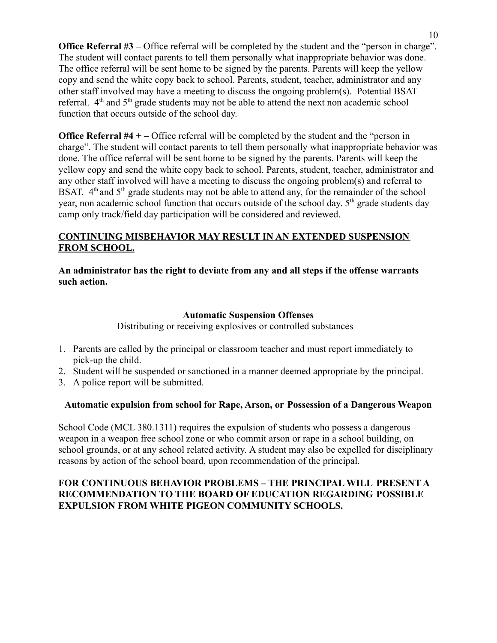**Office Referral #3** – Office referral will be completed by the student and the "person in charge". The student will contact parents to tell them personally what inappropriate behavior was done. The office referral will be sent home to be signed by the parents. Parents will keep the yellow copy and send the white copy back to school. Parents, student, teacher, administrator and any other staff involved may have a meeting to discuss the ongoing problem(s). Potential BSAT referral.  $4<sup>th</sup>$  and  $5<sup>th</sup>$  grade students may not be able to attend the next non academic school function that occurs outside of the school day.

**Office Referral #4 + –** Office referral will be completed by the student and the "person in charge". The student will contact parents to tell them personally what inappropriate behavior was done. The office referral will be sent home to be signed by the parents. Parents will keep the yellow copy and send the white copy back to school. Parents, student, teacher, administrator and any other staff involved will have a meeting to discuss the ongoing problem(s) and referral to BSAT.  $4<sup>th</sup>$  and  $5<sup>th</sup>$  grade students may not be able to attend any, for the remainder of the school year, non academic school function that occurs outside of the school day. 5<sup>th</sup> grade students day camp only track/field day participation will be considered and reviewed.

## **CONTINUING MISBEHAVIOR MAY RESULT IN AN EXTENDED SUSPENSION FROM SCHOOL.**

**An administrator has the right to deviate from any and all steps if the offense warrants such action.**

### **Automatic Suspension Offenses**

Distributing or receiving explosives or controlled substances

- 1. Parents are called by the principal or classroom teacher and must report immediately to pick-up the child.
- 2. Student will be suspended or sanctioned in a manner deemed appropriate by the principal.
- 3. A police report will be submitted.

## **Automatic expulsion from school for Rape, Arson, or Possession of a Dangerous Weapon**

School Code (MCL 380.1311) requires the expulsion of students who possess a dangerous weapon in a weapon free school zone or who commit arson or rape in a school building, on school grounds, or at any school related activity. A student may also be expelled for disciplinary reasons by action of the school board, upon recommendation of the principal.

### **FOR CONTINUOUS BEHAVIOR PROBLEMS – THE PRINCIPAL WILL PRESENT A RECOMMENDATION TO THE BOARD OF EDUCATION REGARDING POSSIBLE EXPULSION FROM WHITE PIGEON COMMUNITY SCHOOLS.**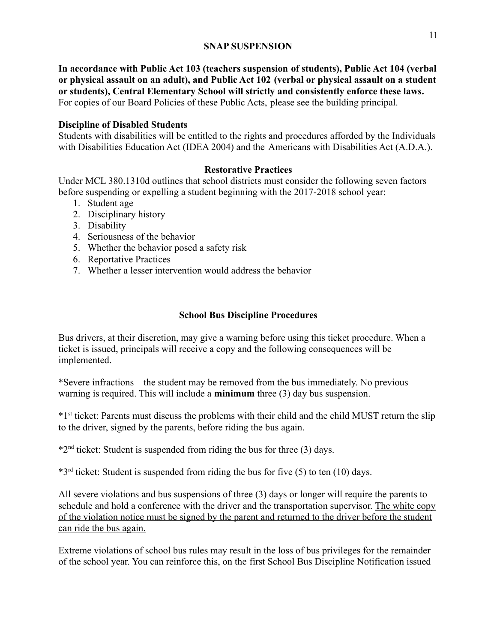#### **SNAP SUSPENSION**

**In accordance with Public Act 103 (teachers suspension of students), Public Act 104 (verbal or physical assault on an adult), and Public Act 102 (verbal or physical assault on a student or students), Central Elementary School will strictly and consistently enforce these laws.** For copies of our Board Policies of these Public Acts, please see the building principal.

#### **Discipline of Disabled Students**

Students with disabilities will be entitled to the rights and procedures afforded by the Individuals with Disabilities Education Act (IDEA 2004) and the Americans with Disabilities Act (A.D.A.).

#### **Restorative Practices**

Under MCL 380.1310d outlines that school districts must consider the following seven factors before suspending or expelling a student beginning with the 2017-2018 school year:

- 1. Student age
- 2. Disciplinary history
- 3. Disability
- 4. Seriousness of the behavior
- 5. Whether the behavior posed a safety risk
- 6. Reportative Practices
- 7. Whether a lesser intervention would address the behavior

#### **School Bus Discipline Procedures**

Bus drivers, at their discretion, may give a warning before using this ticket procedure. When a ticket is issued, principals will receive a copy and the following consequences will be implemented.

\*Severe infractions – the student may be removed from the bus immediately. No previous warning is required. This will include a **minimum** three (3) day bus suspension.

\*1st ticket: Parents must discuss the problems with their child and the child MUST return the slip to the driver, signed by the parents, before riding the bus again.

 $*2<sup>nd</sup>$  ticket: Student is suspended from riding the bus for three (3) days.

 $*3<sup>rd</sup>$  ticket: Student is suspended from riding the bus for five (5) to ten (10) days.

All severe violations and bus suspensions of three (3) days or longer will require the parents to schedule and hold a conference with the driver and the transportation supervisor. The white copy of the violation notice must be signed by the parent and returned to the driver before the student can ride the bus again.

Extreme violations of school bus rules may result in the loss of bus privileges for the remainder of the school year. You can reinforce this, on the first School Bus Discipline Notification issued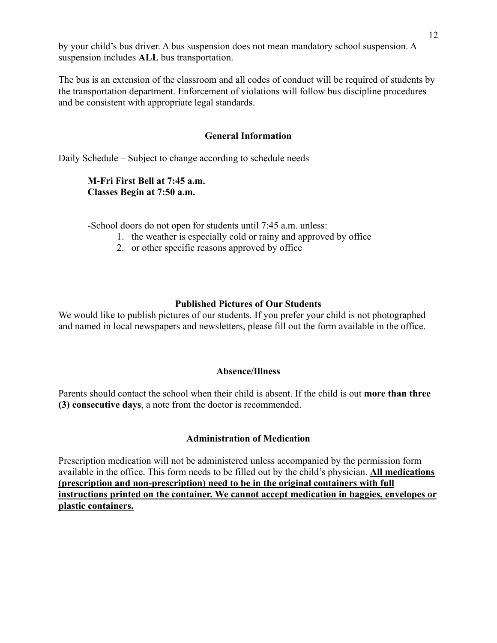by your child's bus driver. A bus suspension does not mean mandatory school suspension. A suspension includes **ALL** bus transportation.

The bus is an extension of the classroom and all codes of conduct will be required of students by the transportation department. Enforcement of violations will follow bus discipline procedures and be consistent with appropriate legal standards.

### **General Information**

Daily Schedule – Subject to change according to schedule needs

## **M-Fri First Bell at 7:45 a.m. Classes Begin at 7:50 a.m.**

-School doors do not open for students until 7:45 a.m. unless:

- 1. the weather is especially cold or rainy and approved by office
- 2. or other specific reasons approved by office

## **Published Pictures of Our Students**

We would like to publish pictures of our students. If you prefer your child is not photographed and named in local newspapers and newsletters, please fill out the form available in the office.

## **Absence/Illness**

Parents should contact the school when their child is absent. If the child is out **more than three (3) consecutive days**, a note from the doctor is recommended.

## **Administration of Medication**

Prescription medication will not be administered unless accompanied by the permission form available in the office. This form needs to be filled out by the child's physician. **All medications (prescription and non-prescription) need to be in the original containers with full instructions printed on the container. We cannot accept medication in baggies, envelopes or plastic containers.**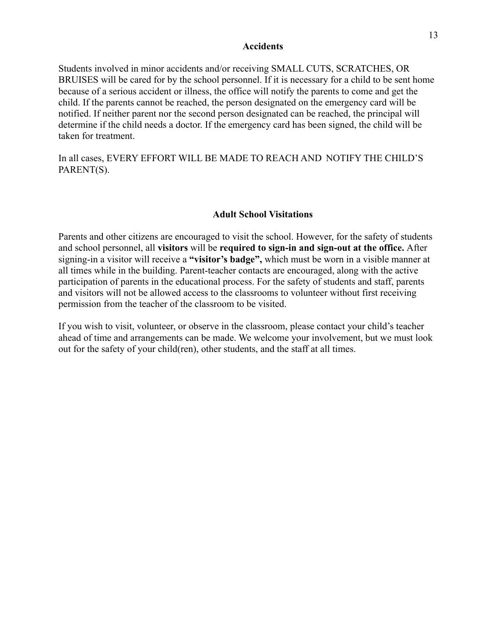#### **Accidents**

Students involved in minor accidents and/or receiving SMALL CUTS, SCRATCHES, OR BRUISES will be cared for by the school personnel. If it is necessary for a child to be sent home because of a serious accident or illness, the office will notify the parents to come and get the child. If the parents cannot be reached, the person designated on the emergency card will be notified. If neither parent nor the second person designated can be reached, the principal will determine if the child needs a doctor. If the emergency card has been signed, the child will be taken for treatment.

In all cases, EVERY EFFORT WILL BE MADE TO REACH AND NOTIFY THE CHILD'S PARENT(S).

#### **Adult School Visitations**

Parents and other citizens are encouraged to visit the school. However, for the safety of students and school personnel, all **visitors** will be **required to sign-in and sign-out at the office.** After signing-in a visitor will receive a **"visitor's badge",** which must be worn in a visible manner at all times while in the building. Parent-teacher contacts are encouraged, along with the active participation of parents in the educational process. For the safety of students and staff, parents and visitors will not be allowed access to the classrooms to volunteer without first receiving permission from the teacher of the classroom to be visited.

If you wish to visit, volunteer, or observe in the classroom, please contact your child's teacher ahead of time and arrangements can be made. We welcome your involvement, but we must look out for the safety of your child(ren), other students, and the staff at all times.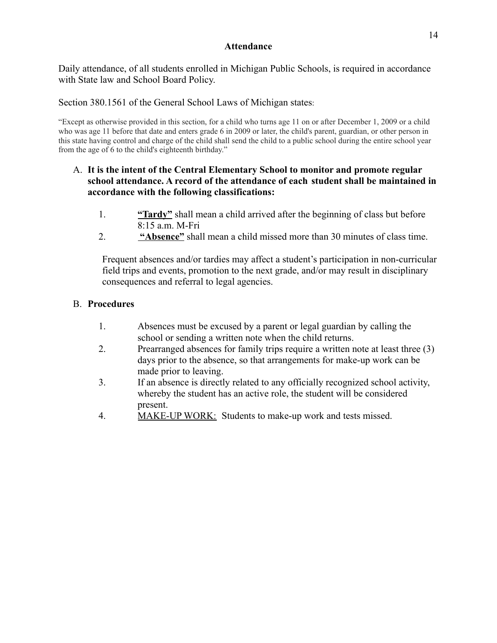#### **Attendance**

Daily attendance, of all students enrolled in Michigan Public Schools, is required in accordance with State law and School Board Policy.

Section 380.1561 of the General School Laws of Michigan states:

 "Except as otherwise provided in this section, for a child who turns age 11 on or after December 1, 2009 or a child who was age 11 before that date and enters grade 6 in 2009 or later, the child's parent, guardian, or other person in this state having control and charge of the child shall send the child to a public school during the entire school year from the age of 6 to the child's eighteenth birthday."

## A. **It is the intent of the Central Elementary School to monitor and promote regular school attendance. A record of the attendance of each student shall be maintained in accordance with the following classifications:**

- 1. **"Tardy"** shall mean a child arrived after the beginning of class but before 8:15 a.m. M-Fri
- 2. **"Absence"** shall mean a child missed more than 30 minutes of class time.

Frequent absences and/or tardies may affect a student's participation in non-curricular field trips and events, promotion to the next grade, and/or may result in disciplinary consequences and referral to legal agencies.

## B. **Procedures**

- 1. Absences must be excused by a parent or legal guardian by calling the school or sending a written note when the child returns.
- 2. Prearranged absences for family trips require a written note at least three (3) days prior to the absence, so that arrangements for make-up work can be made prior to leaving.
- 3. If an absence is directly related to any officially recognized school activity, whereby the student has an active role, the student will be considered present.
- 4. MAKE-UP WORK: Students to make-up work and tests missed.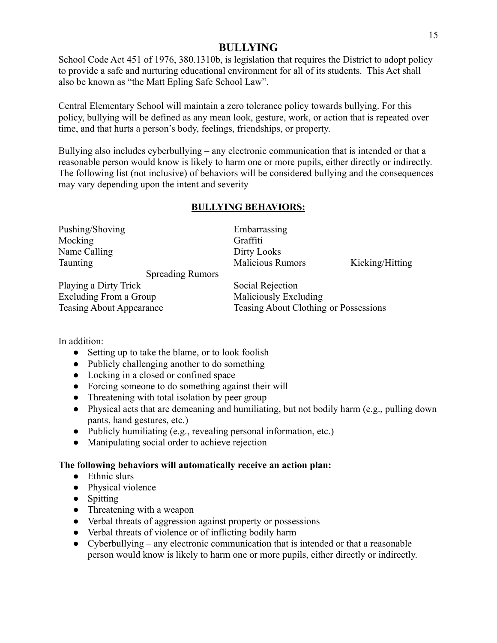## **BULLYING**

School Code Act 451 of 1976, 380.1310b, is legislation that requires the District to adopt policy to provide a safe and nurturing educational environment for all of its students. This Act shall also be known as "the Matt Epling Safe School Law".

Central Elementary School will maintain a zero tolerance policy towards bullying. For this policy, bullying will be defined as any mean look, gesture, work, or action that is repeated over time, and that hurts a person's body, feelings, friendships, or property.

Bullying also includes cyberbullying – any electronic communication that is intended or that a reasonable person would know is likely to harm one or more pupils, either directly or indirectly. The following list (not inclusive) of behaviors will be considered bullying and the consequences may vary depending upon the intent and severity

## **BULLYING BEHAVIORS:**

| Pushing/Shoving       |                         | Embarrassing            |                 |
|-----------------------|-------------------------|-------------------------|-----------------|
| Mocking               |                         | Graffiti                |                 |
| Name Calling          |                         | Dirty Looks             |                 |
| Taunting              |                         | <b>Malicious Rumors</b> | Kicking/Hitting |
|                       | <b>Spreading Rumors</b> |                         |                 |
| Playing a Dirty Trick |                         | Social Rejection        |                 |

Excluding From a Group Maliciously Excluding

Teasing About Appearance Teasing About Clothing or Possessions

In addition:

- Setting up to take the blame, or to look foolish
- Publicly challenging another to do something
- Locking in a closed or confined space
- Forcing someone to do something against their will
- Threatening with total isolation by peer group
- Physical acts that are demeaning and humiliating, but not bodily harm (e.g., pulling down pants, hand gestures, etc.)
- Publicly humiliating (e.g., revealing personal information, etc.)
- Manipulating social order to achieve rejection

## **The following behaviors will automatically receive an action plan:**

- Ethnic slurs
- Physical violence
- Spitting
- Threatening with a weapon
- Verbal threats of aggression against property or possessions
- Verbal threats of violence or of inflicting bodily harm
- Cyberbullying any electronic communication that is intended or that a reasonable person would know is likely to harm one or more pupils, either directly or indirectly.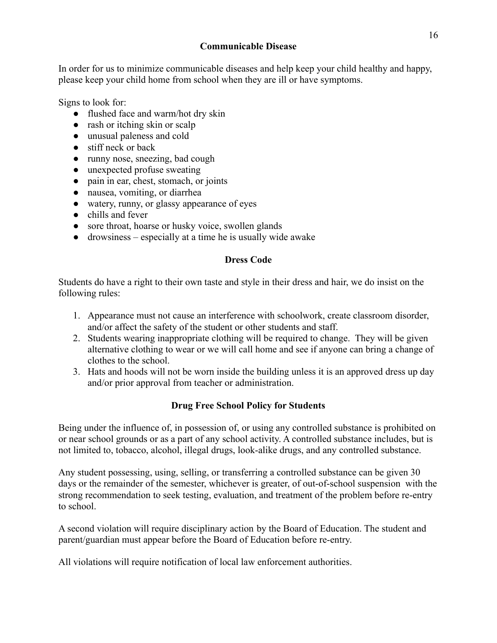### **Communicable Disease**

In order for us to minimize communicable diseases and help keep your child healthy and happy, please keep your child home from school when they are ill or have symptoms.

Signs to look for:

- flushed face and warm/hot dry skin
- rash or itching skin or scalp
- unusual paleness and cold
- stiff neck or back
- runny nose, sneezing, bad cough
- unexpected profuse sweating
- pain in ear, chest, stomach, or joints
- nausea, vomiting, or diarrhea
- watery, runny, or glassy appearance of eyes
- chills and fever
- sore throat, hoarse or husky voice, swollen glands
- drowsiness especially at a time he is usually wide awake

## **Dress Code**

Students do have a right to their own taste and style in their dress and hair, we do insist on the following rules:

- 1. Appearance must not cause an interference with schoolwork, create classroom disorder, and/or affect the safety of the student or other students and staff.
- 2. Students wearing inappropriate clothing will be required to change. They will be given alternative clothing to wear or we will call home and see if anyone can bring a change of clothes to the school.
- 3. Hats and hoods will not be worn inside the building unless it is an approved dress up day and/or prior approval from teacher or administration.

## **Drug Free School Policy for Students**

Being under the influence of, in possession of, or using any controlled substance is prohibited on or near school grounds or as a part of any school activity. A controlled substance includes, but is not limited to, tobacco, alcohol, illegal drugs, look-alike drugs, and any controlled substance.

Any student possessing, using, selling, or transferring a controlled substance can be given 30 days or the remainder of the semester, whichever is greater, of out-of-school suspension with the strong recommendation to seek testing, evaluation, and treatment of the problem before re-entry to school.

A second violation will require disciplinary action by the Board of Education. The student and parent/guardian must appear before the Board of Education before re-entry.

All violations will require notification of local law enforcement authorities.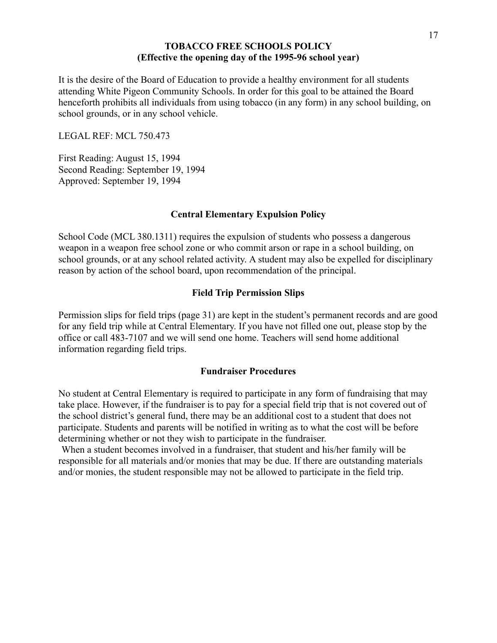#### **TOBACCO FREE SCHOOLS POLICY (Effective the opening day of the 1995-96 school year)**

It is the desire of the Board of Education to provide a healthy environment for all students attending White Pigeon Community Schools. In order for this goal to be attained the Board henceforth prohibits all individuals from using tobacco (in any form) in any school building, on school grounds, or in any school vehicle.

LEGAL REF: MCL 750.473

First Reading: August 15, 1994 Second Reading: September 19, 1994 Approved: September 19, 1994

#### **Central Elementary Expulsion Policy**

School Code (MCL 380.1311) requires the expulsion of students who possess a dangerous weapon in a weapon free school zone or who commit arson or rape in a school building, on school grounds, or at any school related activity. A student may also be expelled for disciplinary reason by action of the school board, upon recommendation of the principal.

#### **Field Trip Permission Slips**

Permission slips for field trips (page 31) are kept in the student's permanent records and are good for any field trip while at Central Elementary. If you have not filled one out, please stop by the office or call 483-7107 and we will send one home. Teachers will send home additional information regarding field trips.

#### **Fundraiser Procedures**

No student at Central Elementary is required to participate in any form of fundraising that may take place. However, if the fundraiser is to pay for a special field trip that is not covered out of the school district's general fund, there may be an additional cost to a student that does not participate. Students and parents will be notified in writing as to what the cost will be before determining whether or not they wish to participate in the fundraiser.

When a student becomes involved in a fundraiser, that student and his/her family will be responsible for all materials and/or monies that may be due. If there are outstanding materials and/or monies, the student responsible may not be allowed to participate in the field trip.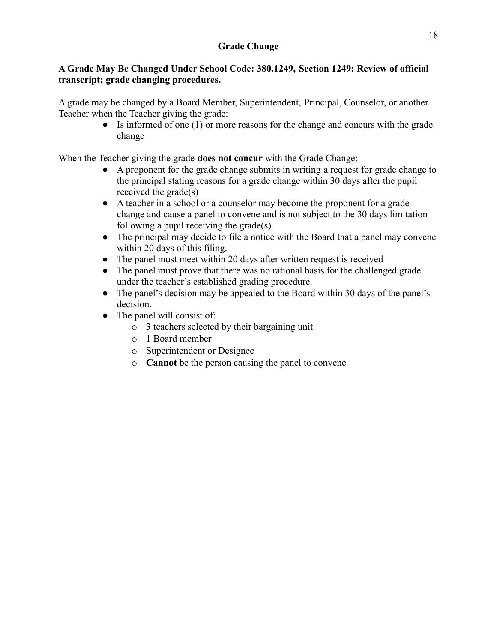## **A Grade May Be Changed Under School Code: 380.1249, Section 1249: Review of official transcript; grade changing procedures.**

A grade may be changed by a Board Member, Superintendent, Principal, Counselor, or another Teacher when the Teacher giving the grade:

● Is informed of one (1) or more reasons for the change and concurs with the grade change

When the Teacher giving the grade **does not concur** with the Grade Change;

- A proponent for the grade change submits in writing a request for grade change to the principal stating reasons for a grade change within 30 days after the pupil received the grade(s)
- A teacher in a school or a counselor may become the proponent for a grade change and cause a panel to convene and is not subject to the 30 days limitation following a pupil receiving the grade(s).
- The principal may decide to file a notice with the Board that a panel may convene within 20 days of this filing.
- The panel must meet within 20 days after written request is received
- The panel must prove that there was no rational basis for the challenged grade under the teacher's established grading procedure.
- The panel's decision may be appealed to the Board within 30 days of the panel's decision.
- The panel will consist of:
	- o 3 teachers selected by their bargaining unit
	- o 1 Board member
	- o Superintendent or Designee
	- o **Cannot** be the person causing the panel to convene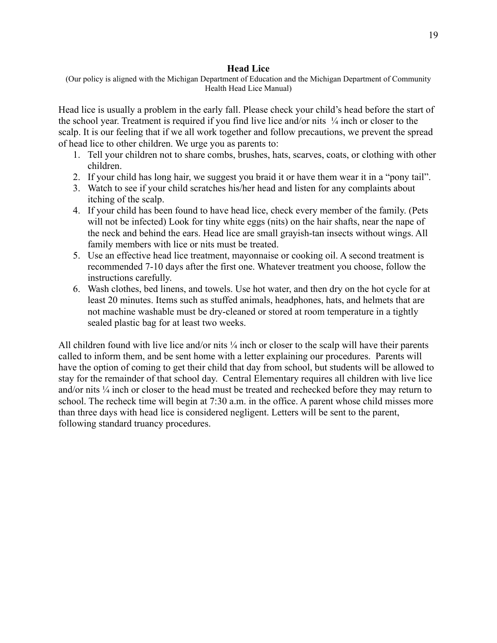#### **Head Lice**

 (Our policy is aligned with the Michigan Department of Education and the Michigan Department of Community Health Head Lice Manual)

Head lice is usually a problem in the early fall. Please check your child's head before the start of the school year. Treatment is required if you find live lice and/or nits  $\frac{1}{4}$  inch or closer to the scalp. It is our feeling that if we all work together and follow precautions, we prevent the spread of head lice to other children. We urge you as parents to:

- 1. Tell your children not to share combs, brushes, hats, scarves, coats, or clothing with other children.
- 2. If your child has long hair, we suggest you braid it or have them wear it in a "pony tail".
- 3. Watch to see if your child scratches his/her head and listen for any complaints about itching of the scalp.
- 4. If your child has been found to have head lice, check every member of the family. (Pets will not be infected) Look for tiny white eggs (nits) on the hair shafts, near the nape of the neck and behind the ears. Head lice are small grayish-tan insects without wings. All family members with lice or nits must be treated.
- 5. Use an effective head lice treatment, mayonnaise or cooking oil. A second treatment is recommended 7-10 days after the first one. Whatever treatment you choose, follow the instructions carefully.
- 6. Wash clothes, bed linens, and towels. Use hot water, and then dry on the hot cycle for at least 20 minutes. Items such as stuffed animals, headphones, hats, and helmets that are not machine washable must be dry-cleaned or stored at room temperature in a tightly sealed plastic bag for at least two weeks.

All children found with live lice and/or nits  $\frac{1}{4}$  inch or closer to the scalp will have their parents called to inform them, and be sent home with a letter explaining our procedures. Parents will have the option of coming to get their child that day from school, but students will be allowed to stay for the remainder of that school day. Central Elementary requires all children with live lice and/or nits  $\frac{1}{4}$  inch or closer to the head must be treated and rechecked before they may return to school. The recheck time will begin at 7:30 a.m. in the office. A parent whose child misses more than three days with head lice is considered negligent. Letters will be sent to the parent, following standard truancy procedures.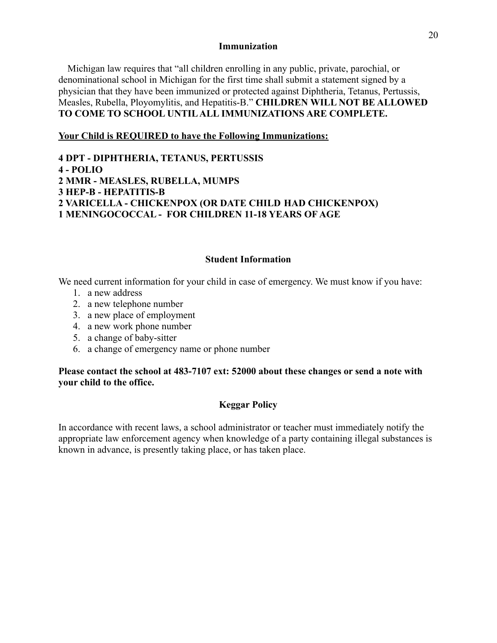#### **Immunization**

Michigan law requires that "all children enrolling in any public, private, parochial, or denominational school in Michigan for the first time shall submit a statement signed by a physician that they have been immunized or protected against Diphtheria, Tetanus, Pertussis, Measles, Rubella, Ployomylitis, and Hepatitis-B." **CHILDREN WILL NOT BE ALLOWED TO COME TO SCHOOL UNTIL ALL IMMUNIZATIONS ARE COMPLETE.**

#### **Your Child is REQUIRED to have the Following Immunizations:**

**4 DPT - DIPHTHERIA, TETANUS, PERTUSSIS 4 - POLIO 2 MMR - MEASLES, RUBELLA, MUMPS 3 HEP-B - HEPATITIS-B 2 VARICELLA - CHICKENPOX (OR DATE CHILD HAD CHICKENPOX) 1 MENINGOCOCCAL - FOR CHILDREN 11-18 YEARS OF AGE**

#### **Student Information**

We need current information for your child in case of emergency. We must know if you have:

- 1. a new address
- 2. a new telephone number
- 3. a new place of employment
- 4. a new work phone number
- 5. a change of baby-sitter
- 6. a change of emergency name or phone number

#### **Please contact the school at 483-7107 ext: 52000 about these changes or send a note with your child to the office.**

#### **Keggar Policy**

In accordance with recent laws, a school administrator or teacher must immediately notify the appropriate law enforcement agency when knowledge of a party containing illegal substances is known in advance, is presently taking place, or has taken place.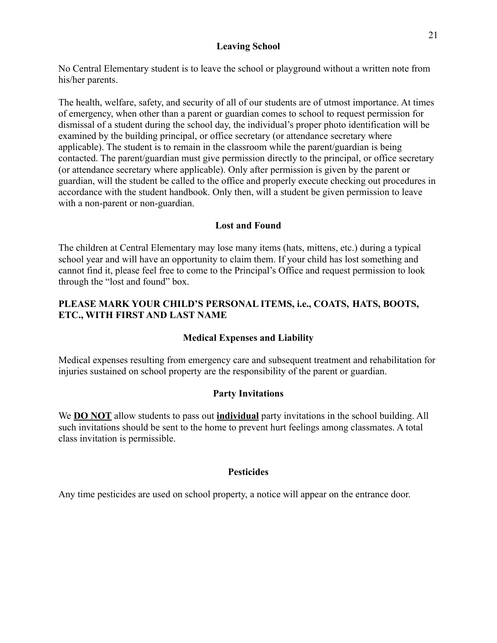#### **Leaving School**

No Central Elementary student is to leave the school or playground without a written note from his/her parents.

The health, welfare, safety, and security of all of our students are of utmost importance. At times of emergency, when other than a parent or guardian comes to school to request permission for dismissal of a student during the school day, the individual's proper photo identification will be examined by the building principal, or office secretary (or attendance secretary where applicable). The student is to remain in the classroom while the parent/guardian is being contacted. The parent/guardian must give permission directly to the principal, or office secretary (or attendance secretary where applicable). Only after permission is given by the parent or guardian, will the student be called to the office and properly execute checking out procedures in accordance with the student handbook. Only then, will a student be given permission to leave with a non-parent or non-guardian.

### **Lost and Found**

The children at Central Elementary may lose many items (hats, mittens, etc.) during a typical school year and will have an opportunity to claim them. If your child has lost something and cannot find it, please feel free to come to the Principal's Office and request permission to look through the "lost and found" box.

## **PLEASE MARK YOUR CHILD'S PERSONAL ITEMS, i.e., COATS, HATS, BOOTS, ETC., WITH FIRST AND LAST NAME**

## **Medical Expenses and Liability**

Medical expenses resulting from emergency care and subsequent treatment and rehabilitation for injuries sustained on school property are the responsibility of the parent or guardian.

## **Party Invitations**

We **DO NOT** allow students to pass out **individual** party invitations in the school building. All such invitations should be sent to the home to prevent hurt feelings among classmates. A total class invitation is permissible.

#### **Pesticides**

Any time pesticides are used on school property, a notice will appear on the entrance door.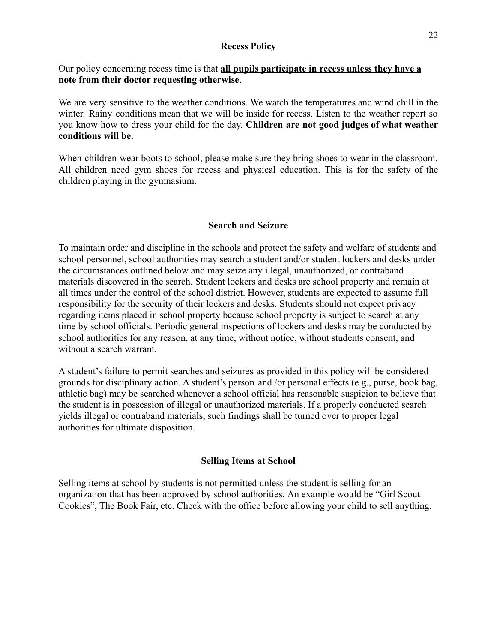#### **Recess Policy**

### Our policy concerning recess time is that **all pupils participate in recess unless they have a note from their doctor requesting otherwise**.

We are very sensitive to the weather conditions. We watch the temperatures and wind chill in the winter. Rainy conditions mean that we will be inside for recess. Listen to the weather report so you know how to dress your child for the day. **Children are not good judges of what weather conditions will be.**

When children wear boots to school, please make sure they bring shoes to wear in the classroom. All children need gym shoes for recess and physical education. This is for the safety of the children playing in the gymnasium.

### **Search and Seizure**

To maintain order and discipline in the schools and protect the safety and welfare of students and school personnel, school authorities may search a student and/or student lockers and desks under the circumstances outlined below and may seize any illegal, unauthorized, or contraband materials discovered in the search. Student lockers and desks are school property and remain at all times under the control of the school district. However, students are expected to assume full responsibility for the security of their lockers and desks. Students should not expect privacy regarding items placed in school property because school property is subject to search at any time by school officials. Periodic general inspections of lockers and desks may be conducted by school authorities for any reason, at any time, without notice, without students consent, and without a search warrant.

A student's failure to permit searches and seizures as provided in this policy will be considered grounds for disciplinary action. A student's person and /or personal effects (e.g., purse, book bag, athletic bag) may be searched whenever a school official has reasonable suspicion to believe that the student is in possession of illegal or unauthorized materials. If a properly conducted search yields illegal or contraband materials, such findings shall be turned over to proper legal authorities for ultimate disposition.

#### **Selling Items at School**

Selling items at school by students is not permitted unless the student is selling for an organization that has been approved by school authorities. An example would be "Girl Scout Cookies", The Book Fair, etc. Check with the office before allowing your child to sell anything.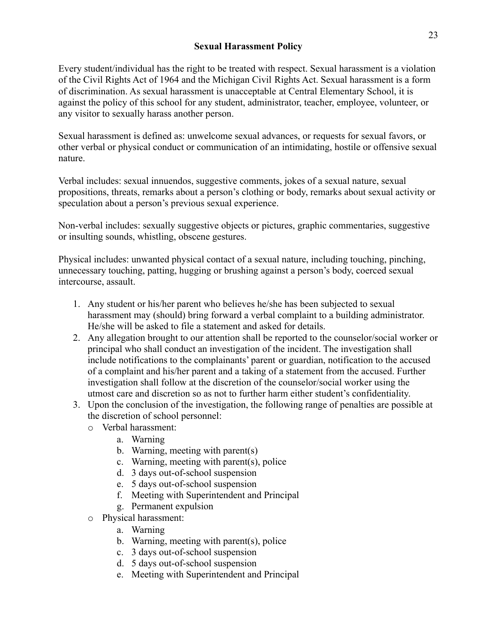#### **Sexual Harassment Policy**

Every student/individual has the right to be treated with respect. Sexual harassment is a violation of the Civil Rights Act of 1964 and the Michigan Civil Rights Act. Sexual harassment is a form of discrimination. As sexual harassment is unacceptable at Central Elementary School, it is against the policy of this school for any student, administrator, teacher, employee, volunteer, or any visitor to sexually harass another person.

Sexual harassment is defined as: unwelcome sexual advances, or requests for sexual favors, or other verbal or physical conduct or communication of an intimidating, hostile or offensive sexual nature.

Verbal includes: sexual innuendos, suggestive comments, jokes of a sexual nature, sexual propositions, threats, remarks about a person's clothing or body, remarks about sexual activity or speculation about a person's previous sexual experience.

Non-verbal includes: sexually suggestive objects or pictures, graphic commentaries, suggestive or insulting sounds, whistling, obscene gestures.

Physical includes: unwanted physical contact of a sexual nature, including touching, pinching, unnecessary touching, patting, hugging or brushing against a person's body, coerced sexual intercourse, assault.

- 1. Any student or his/her parent who believes he/she has been subjected to sexual harassment may (should) bring forward a verbal complaint to a building administrator. He/she will be asked to file a statement and asked for details.
- 2. Any allegation brought to our attention shall be reported to the counselor/social worker or principal who shall conduct an investigation of the incident. The investigation shall include notifications to the complainants' parent or guardian, notification to the accused of a complaint and his/her parent and a taking of a statement from the accused. Further investigation shall follow at the discretion of the counselor/social worker using the utmost care and discretion so as not to further harm either student's confidentiality.
- 3. Upon the conclusion of the investigation, the following range of penalties are possible at the discretion of school personnel:
	- o Verbal harassment:
		- a. Warning
		- b. Warning, meeting with parent(s)
		- c. Warning, meeting with parent(s), police
		- d. 3 days out-of-school suspension
		- e. 5 days out-of-school suspension
		- f. Meeting with Superintendent and Principal
		- g. Permanent expulsion
	- o Physical harassment:
		- a. Warning
		- b. Warning, meeting with parent(s), police
		- c. 3 days out-of-school suspension
		- d. 5 days out-of-school suspension
		- e. Meeting with Superintendent and Principal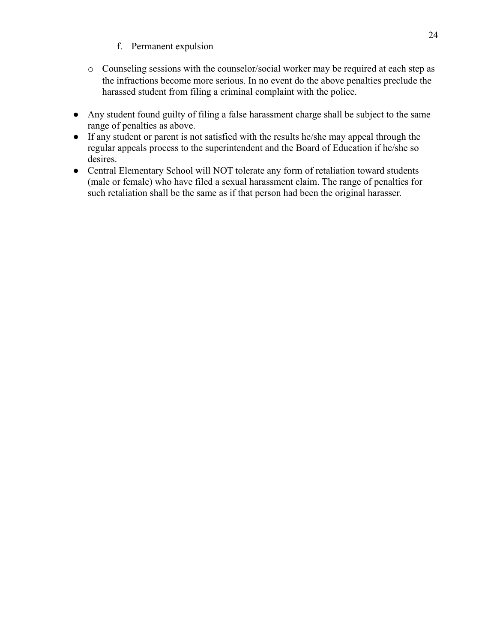- f. Permanent expulsion
- o Counseling sessions with the counselor/social worker may be required at each step as the infractions become more serious. In no event do the above penalties preclude the harassed student from filing a criminal complaint with the police.
- Any student found guilty of filing a false harassment charge shall be subject to the same range of penalties as above.
- If any student or parent is not satisfied with the results he/she may appeal through the regular appeals process to the superintendent and the Board of Education if he/she so desires.
- Central Elementary School will NOT tolerate any form of retaliation toward students (male or female) who have filed a sexual harassment claim. The range of penalties for such retaliation shall be the same as if that person had been the original harasser.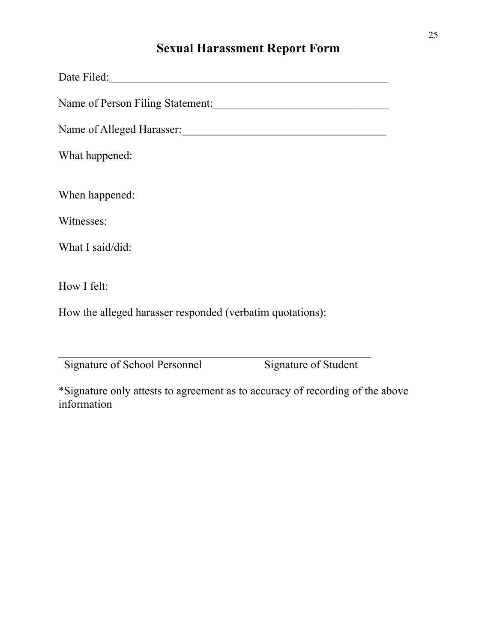# **Sexual Harassment Report Form**

| Name of Person Filing Statement:                          |
|-----------------------------------------------------------|
| Name of Alleged Harasser:                                 |
| What happened:                                            |
|                                                           |
| When happened:                                            |
| Witnesses:                                                |
| What I said/did:                                          |
|                                                           |
| How I felt:                                               |
| How the alleged harasser responded (verbatim quotations): |
|                                                           |
|                                                           |

Signature of School Personnel Signature of Student

 \*Signature only attests to agreement as to accuracy of recording of the above information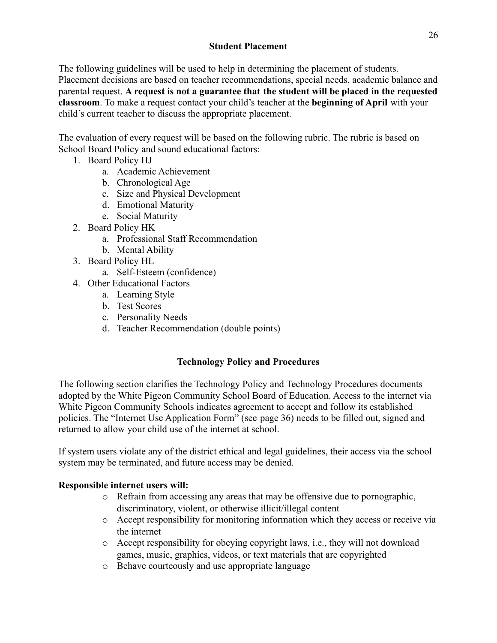## **Student Placement**

The following guidelines will be used to help in determining the placement of students. Placement decisions are based on teacher recommendations, special needs, academic balance and parental request. **A request is not a guarantee that the student will be placed in the requested classroom**. To make a request contact your child's teacher at the **beginning of April** with your child's current teacher to discuss the appropriate placement.

The evaluation of every request will be based on the following rubric. The rubric is based on School Board Policy and sound educational factors:

- 1. Board Policy HJ
	- a. Academic Achievement
	- b. Chronological Age
	- c. Size and Physical Development
	- d. Emotional Maturity
	- e. Social Maturity
- 2. Board Policy HK
	- a. Professional Staff Recommendation
	- b. Mental Ability
- 3. Board Policy HL
	- a. Self-Esteem (confidence)
- 4. Other Educational Factors
	- a. Learning Style
	- b. Test Scores
	- c. Personality Needs
	- d. Teacher Recommendation (double points)

## **Technology Policy and Procedures**

The following section clarifies the Technology Policy and Technology Procedures documents adopted by the White Pigeon Community School Board of Education. Access to the internet via White Pigeon Community Schools indicates agreement to accept and follow its established policies. The "Internet Use Application Form" (see page 36) needs to be filled out, signed and returned to allow your child use of the internet at school.

If system users violate any of the district ethical and legal guidelines, their access via the school system may be terminated, and future access may be denied.

## **Responsible internet users will:**

- o Refrain from accessing any areas that may be offensive due to pornographic, discriminatory, violent, or otherwise illicit/illegal content
- o Accept responsibility for monitoring information which they access or receive via the internet
- o Accept responsibility for obeying copyright laws, i.e., they will not download games, music, graphics, videos, or text materials that are copyrighted
- o Behave courteously and use appropriate language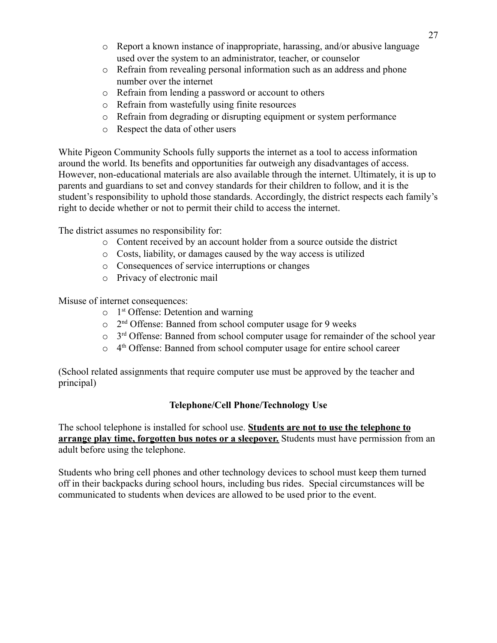- o Report a known instance of inappropriate, harassing, and/or abusive language used over the system to an administrator, teacher, or counselor
- o Refrain from revealing personal information such as an address and phone number over the internet
- o Refrain from lending a password or account to others
- o Refrain from wastefully using finite resources
- o Refrain from degrading or disrupting equipment or system performance
- o Respect the data of other users

White Pigeon Community Schools fully supports the internet as a tool to access information around the world. Its benefits and opportunities far outweigh any disadvantages of access. However, non-educational materials are also available through the internet. Ultimately, it is up to parents and guardians to set and convey standards for their children to follow, and it is the student's responsibility to uphold those standards. Accordingly, the district respects each family's right to decide whether or not to permit their child to access the internet.

The district assumes no responsibility for:

- o Content received by an account holder from a source outside the district
- o Costs, liability, or damages caused by the way access is utilized
- o Consequences of service interruptions or changes
- o Privacy of electronic mail

Misuse of internet consequences:

- $\circ$  1<sup>st</sup> Offense: Detention and warning
- o 2nd Offense: Banned from school computer usage for 9 weeks
- $\circ$  3<sup>rd</sup> Offense: Banned from school computer usage for remainder of the school year
- $\circ$  4<sup>th</sup> Offense: Banned from school computer usage for entire school career

(School related assignments that require computer use must be approved by the teacher and principal)

## **Telephone/Cell Phone/Technology Use**

The school telephone is installed for school use. **Students are not to use the telephone to arrange play time, forgotten bus notes or a sleepover.** Students must have permission from an adult before using the telephone.

Students who bring cell phones and other technology devices to school must keep them turned off in their backpacks during school hours, including bus rides. Special circumstances will be communicated to students when devices are allowed to be used prior to the event.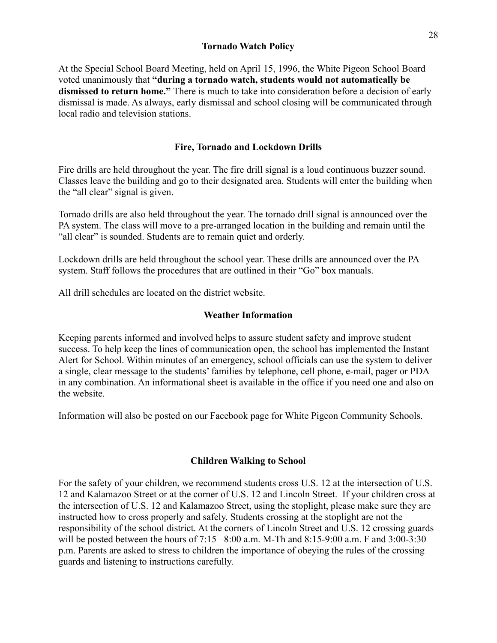#### **Tornado Watch Policy**

At the Special School Board Meeting, held on April 15, 1996, the White Pigeon School Board voted unanimously that **"during a tornado watch, students would not automatically be dismissed to return home."** There is much to take into consideration before a decision of early dismissal is made. As always, early dismissal and school closing will be communicated through local radio and television stations.

#### **Fire, Tornado and Lockdown Drills**

Fire drills are held throughout the year. The fire drill signal is a loud continuous buzzer sound. Classes leave the building and go to their designated area. Students will enter the building when the "all clear" signal is given.

Tornado drills are also held throughout the year. The tornado drill signal is announced over the PA system. The class will move to a pre-arranged location in the building and remain until the "all clear" is sounded. Students are to remain quiet and orderly.

Lockdown drills are held throughout the school year. These drills are announced over the PA system. Staff follows the procedures that are outlined in their "Go" box manuals.

All drill schedules are located on the district website.

#### **Weather Information**

Keeping parents informed and involved helps to assure student safety and improve student success. To help keep the lines of communication open, the school has implemented the Instant Alert for School. Within minutes of an emergency, school officials can use the system to deliver a single, clear message to the students' families by telephone, cell phone, e-mail, pager or PDA in any combination. An informational sheet is available in the office if you need one and also on the website.

Information will also be posted on our Facebook page for White Pigeon Community Schools.

#### **Children Walking to School**

For the safety of your children, we recommend students cross U.S. 12 at the intersection of U.S. 12 and Kalamazoo Street or at the corner of U.S. 12 and Lincoln Street. If your children cross at the intersection of U.S. 12 and Kalamazoo Street, using the stoplight, please make sure they are instructed how to cross properly and safely. Students crossing at the stoplight are not the responsibility of the school district. At the corners of Lincoln Street and U.S. 12 crossing guards will be posted between the hours of 7:15 –8:00 a.m. M-Th and 8:15-9:00 a.m. F and 3:00-3:30 p.m. Parents are asked to stress to children the importance of obeying the rules of the crossing guards and listening to instructions carefully.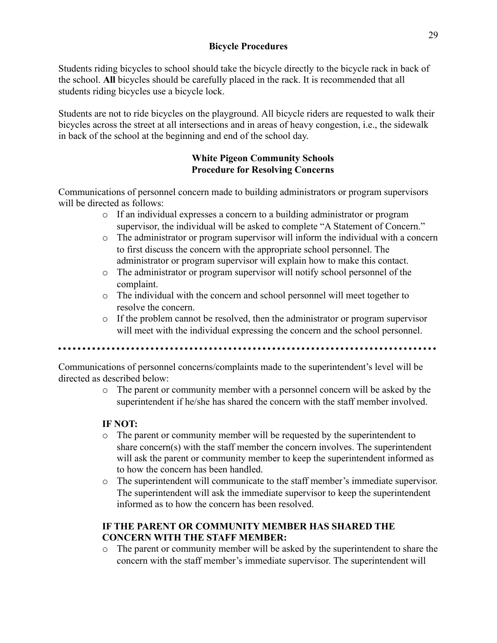Students riding bicycles to school should take the bicycle directly to the bicycle rack in back of the school. **All** bicycles should be carefully placed in the rack. It is recommended that all students riding bicycles use a bicycle lock.

Students are not to ride bicycles on the playground. All bicycle riders are requested to walk their bicycles across the street at all intersections and in areas of heavy congestion, i.e., the sidewalk in back of the school at the beginning and end of the school day.

## **White Pigeon Community Schools Procedure for Resolving Concerns**

Communications of personnel concern made to building administrators or program supervisors will be directed as follows:

- o If an individual expresses a concern to a building administrator or program supervisor, the individual will be asked to complete "A Statement of Concern."
- o The administrator or program supervisor will inform the individual with a concern to first discuss the concern with the appropriate school personnel. The administrator or program supervisor will explain how to make this contact.
- o The administrator or program supervisor will notify school personnel of the complaint.
- o The individual with the concern and school personnel will meet together to resolve the concern.
- $\circ$  If the problem cannot be resolved, then the administrator or program supervisor will meet with the individual expressing the concern and the school personnel.

Communications of personnel concerns/complaints made to the superintendent's level will be directed as described below:

o The parent or community member with a personnel concern will be asked by the superintendent if he/she has shared the concern with the staff member involved.

## **IF NOT:**

- o The parent or community member will be requested by the superintendent to share concern(s) with the staff member the concern involves. The superintendent will ask the parent or community member to keep the superintendent informed as to how the concern has been handled.
- o The superintendent will communicate to the staff member's immediate supervisor. The superintendent will ask the immediate supervisor to keep the superintendent informed as to how the concern has been resolved.

## **IF THE PARENT OR COMMUNITY MEMBER HAS SHARED THE CONCERN WITH THE STAFF MEMBER:**

o The parent or community member will be asked by the superintendent to share the concern with the staff member's immediate supervisor. The superintendent will